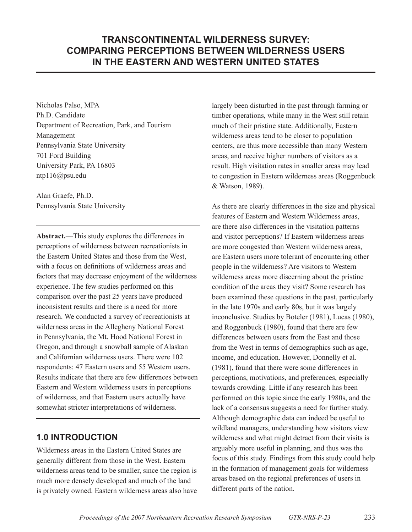# **TRANSCONTINENTAL WILDERNESS SURVEY: COMPARING PERCEPTIONS BETWEEN WILDERNESS USERS IN THE EASTERN AND WESTERN UNITED STATES**

Nicholas Palso, MPA Ph.D. Candidate Department of Recreation, Park, and Tourism Management Pennsylvania State University 701 Ford Building University Park, PA 16803 ntp116@psu.edu

Alan Graefe, Ph.D. Pennsylvania State University

**Abstract.**—This study explores the differences in perceptions of wilderness between recreationists in the Eastern United States and those from the West, with a focus on definitions of wilderness areas and factors that may decrease enjoyment of the wilderness experience. The few studies performed on this comparison over the past 25 years have produced inconsistent results and there is a need for more research. We conducted a survey of recreationists at wilderness areas in the Allegheny National Forest in Pennsylvania, the Mt. Hood National Forest in Oregon, and through a snowball sample of Alaskan and Californian wilderness users. There were 102 respondents: 47 Eastern users and 55 Western users. Results indicate that there are few differences between Eastern and Western wilderness users in perceptions of wilderness, and that Eastern users actually have somewhat stricter interpretations of wilderness.

# **1.0 Introduction**

Wilderness areas in the Eastern United States are generally different from those in the West. Eastern wilderness areas tend to be smaller, since the region is much more densely developed and much of the land is privately owned. Eastern wilderness areas also have largely been disturbed in the past through farming or timber operations, while many in the West still retain much of their pristine state. Additionally, Eastern wilderness areas tend to be closer to population centers, are thus more accessible than many Western areas, and receive higher numbers of visitors as a result. High visitation rates in smaller areas may lead to congestion in Eastern wilderness areas (Roggenbuck & Watson, 1989).

As there are clearly differences in the size and physical features of Eastern and Western Wilderness areas, are there also differences in the visitation patterns and visitor perceptions? If Eastern wilderness areas are more congested than Western wilderness areas, are Eastern users more tolerant of encountering other people in the wilderness? Are visitors to Western wilderness areas more discerning about the pristine condition of the areas they visit? Some research has been examined these questions in the past, particularly in the late 1970s and early 80s, but it was largely inconclusive. Studies by Boteler (1981), Lucas (1980), and Roggenbuck (1980), found that there are few differences between users from the East and those from the West in terms of demographics such as age, income, and education. However, Donnelly et al. (1981), found that there were some differences in perceptions, motivations, and preferences, especially towards crowding. Little if any research has been performed on this topic since the early 1980s, and the lack of a consensus suggests a need for further study. Although demographic data can indeed be useful to wildland managers, understanding how visitors view wilderness and what might detract from their visits is arguably more useful in planning, and thus was the focus of this study. Findings from this study could help in the formation of management goals for wilderness areas based on the regional preferences of users in different parts of the nation.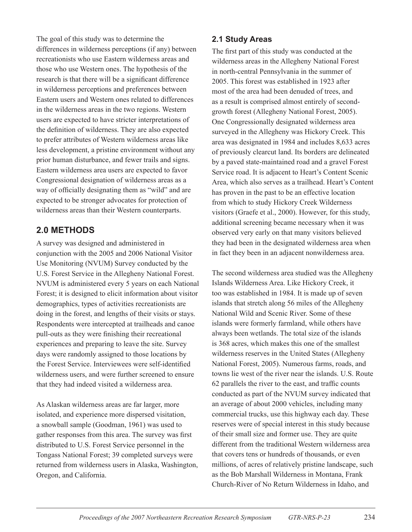The goal of this study was to determine the differences in wilderness perceptions (if any) between recreationists who use Eastern wilderness areas and those who use Western ones. The hypothesis of the research is that there will be a significant difference in wilderness perceptions and preferences between Eastern users and Western ones related to differences in the wilderness areas in the two regions. Western users are expected to have stricter interpretations of the definition of wilderness. They are also expected to prefer attributes of Western wilderness areas like less development, a pristine environment without any prior human disturbance, and fewer trails and signs. Eastern wilderness area users are expected to favor Congressional designation of wilderness areas as a way of officially designating them as "wild" and are expected to be stronger advocates for protection of wilderness areas than their Western counterparts.

## **2.0 Methods**

A survey was designed and administered in conjunction with the 2005 and 2006 National Visitor Use Monitoring (NVUM) Survey conducted by the U.S. Forest Service in the Allegheny National Forest. NVUM is administered every 5 years on each National Forest; it is designed to elicit information about visitor demographics, types of activities recreationists are doing in the forest, and lengths of their visits or stays. Respondents were intercepted at trailheads and canoe pull-outs as they were finishing their recreational experiences and preparing to leave the site. Survey days were randomly assigned to those locations by the Forest Service. Interviewees were self-identified wilderness users, and were further screened to ensure that they had indeed visited a wilderness area.

As Alaskan wilderness areas are far larger, more isolated, and experience more dispersed visitation, a snowball sample (Goodman, 1961) was used to gather responses from this area. The survey was first distributed to U.S. Forest Service personnel in the Tongass National Forest; 39 completed surveys were returned from wilderness users in Alaska, Washington, Oregon, and California.

### **2.1 Study Areas**

The first part of this study was conducted at the wilderness areas in the Allegheny National Forest in north-central Pennsylvania in the summer of 2005. This forest was established in 1923 after most of the area had been denuded of trees, and as a result is comprised almost entirely of secondgrowth forest (Allegheny National Forest, 2005). One Congressionally designated wilderness area surveyed in the Allegheny was Hickory Creek. This area was designated in 1984 and includes 8,633 acres of previously clearcut land. Its borders are delineated by a paved state-maintained road and a gravel Forest Service road. It is adjacent to Heart's Content Scenic Area, which also serves as a trailhead. Heart's Content has proven in the past to be an effective location from which to study Hickory Creek Wilderness visitors (Graefe et al., 2000). However, for this study, additional screening became necessary when it was observed very early on that many visitors believed they had been in the designated wilderness area when in fact they been in an adjacent nonwilderness area.

The second wilderness area studied was the Allegheny Islands Wilderness Area. Like Hickory Creek, it too was established in 1984. It is made up of seven islands that stretch along 56 miles of the Allegheny National Wild and Scenic River. Some of these islands were formerly farmland, while others have always been wetlands. The total size of the islands is 368 acres, which makes this one of the smallest wilderness reserves in the United States (Allegheny National Forest, 2005). Numerous farms, roads, and towns lie west of the river near the islands. U.S. Route 62 parallels the river to the east, and traffic counts conducted as part of the NVUM survey indicated that an average of about 2000 vehicles, including many commercial trucks, use this highway each day. These reserves were of special interest in this study because of their small size and former use. They are quite different from the traditional Western wilderness area that covers tens or hundreds of thousands, or even millions, of acres of relatively pristine landscape, such as the Bob Marshall Wilderness in Montana, Frank Church-River of No Return Wilderness in Idaho, and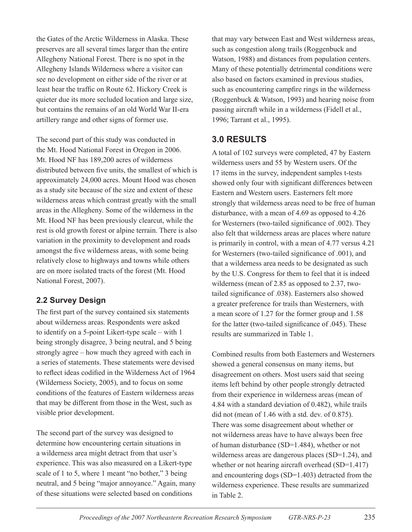the Gates of the Arctic Wilderness in Alaska. These preserves are all several times larger than the entire Allegheny National Forest. There is no spot in the Allegheny Islands Wilderness where a visitor can see no development on either side of the river or at least hear the traffic on Route 62. Hickory Creek is quieter due its more secluded location and large size, but contains the remains of an old World War II-era artillery range and other signs of former use.

The second part of this study was conducted in the Mt. Hood National Forest in Oregon in 2006. Mt. Hood NF has 189,200 acres of wilderness distributed between five units, the smallest of which is approximately 24,000 acres. Mount Hood was chosen as a study site because of the size and extent of these wilderness areas which contrast greatly with the small areas in the Allegheny. Some of the wilderness in the Mt. Hood NF has been previously clearcut, while the rest is old growth forest or alpine terrain. There is also variation in the proximity to development and roads amongst the five wilderness areas, with some being relatively close to highways and towns while others are on more isolated tracts of the forest (Mt. Hood National Forest, 2007).

## **2.2 Survey Design**

The first part of the survey contained six statements about wilderness areas. Respondents were asked to identify on a 5-point Likert-type scale – with 1 being strongly disagree, 3 being neutral, and 5 being strongly agree – how much they agreed with each in a series of statements. These statements were devised to reflect ideas codified in the Wilderness Act of 1964 (Wilderness Society, 2005), and to focus on some conditions of the features of Eastern wilderness areas that may be different from those in the West, such as visible prior development.

The second part of the survey was designed to determine how encountering certain situations in a wilderness area might detract from that user's experience. This was also measured on a Likert-type scale of 1 to 5, where 1 meant "no bother," 3 being neutral, and 5 being "major annoyance." Again, many of these situations were selected based on conditions

that may vary between East and West wilderness areas, such as congestion along trails (Roggenbuck and Watson, 1988) and distances from population centers. Many of these potentially detrimental conditions were also based on factors examined in previous studies, such as encountering campfire rings in the wilderness (Roggenbuck & Watson, 1993) and hearing noise from passing aircraft while in a wilderness (Fidell et al., 1996; Tarrant et al., 1995).

## **3.0 Results**

A total of 102 surveys were completed, 47 by Eastern wilderness users and 55 by Western users. Of the 17 items in the survey, independent samples t-tests showed only four with significant differences between Eastern and Western users. Easterners felt more strongly that wilderness areas need to be free of human disturbance, with a mean of 4.69 as opposed to 4.26 for Westerners (two-tailed significance of .002). They also felt that wilderness areas are places where nature is primarily in control, with a mean of 4.77 versus 4.21 for Westerners (two-tailed significance of .001), and that a wilderness area needs to be designated as such by the U.S. Congress for them to feel that it is indeed wilderness (mean of 2.85 as opposed to 2.37, twotailed significance of .038). Easterners also showed a greater preference for trails than Westerners, with a mean score of 1.27 for the former group and 1.58 for the latter (two-tailed significance of .045). These results are summarized in Table 1.

Combined results from both Easterners and Westerners showed a general consensus on many items, but disagreement on others. Most users said that seeing items left behind by other people strongly detracted from their experience in wilderness areas (mean of 4.84 with a standard deviation of 0.482), while trails did not (mean of 1.46 with a std. dev. of 0.875). There was some disagreement about whether or not wilderness areas have to have always been free of human disturbance (SD=1.484), whether or not wilderness areas are dangerous places (SD=1.24), and whether or not hearing aircraft overhead (SD=1.417) and encountering dogs (SD=1.403) detracted from the wilderness experience. These results are summarized in Table 2.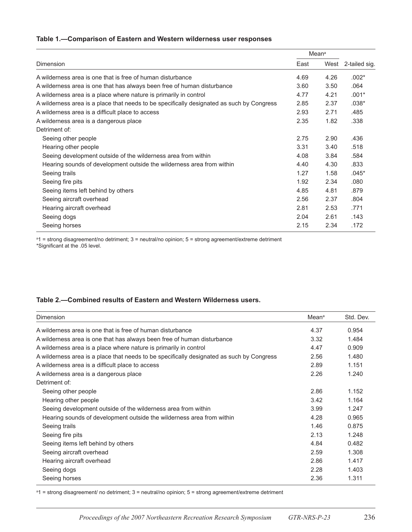#### **Table 1.—Comparison of Eastern and Western wilderness user responses**

| Dimension                                                                                 | Mean <sup>a</sup> |      |               |
|-------------------------------------------------------------------------------------------|-------------------|------|---------------|
|                                                                                           | East              | West | 2-tailed sig. |
| A wilderness area is one that is free of human disturbance                                | 4.69              | 4.26 | $.002*$       |
| A wilderness area is one that has always been free of human disturbance                   | 3.60              | 3.50 | .064          |
| A wilderness area is a place where nature is primarily in control                         | 4.77              | 4.21 | $.001*$       |
| A wilderness area is a place that needs to be specifically designated as such by Congress | 2.85              | 2.37 | $.038*$       |
| A wilderness area is a difficult place to access                                          | 2.93              | 2.71 | .485          |
| A wilderness area is a dangerous place                                                    | 2.35              | 1.82 | .338          |
| Detriment of:                                                                             |                   |      |               |
| Seeing other people                                                                       | 2.75              | 2.90 | .436          |
| Hearing other people                                                                      | 3.31              | 3.40 | .518          |
| Seeing development outside of the wilderness area from within                             | 4.08              | 3.84 | .584          |
| Hearing sounds of development outside the wilderness area from within                     | 4.40              | 4.30 | .833          |
| Seeing trails                                                                             | 1.27              | 1.58 | $.045*$       |
| Seeing fire pits                                                                          | 1.92              | 2.34 | .080          |
| Seeing items left behind by others                                                        | 4.85              | 4.81 | .879          |
| Seeing aircraft overhead                                                                  | 2.56              | 2.37 | .804          |
| Hearing aircraft overhead                                                                 | 2.81              | 2.53 | .771          |
| Seeing dogs                                                                               | 2.04              | 2.61 | .143          |
| Seeing horses                                                                             | 2.15              | 2.34 | .172          |

a 1 = strong disagreement/no detriment; 3 = neutral/no opinion; 5 = strong agreement/extreme detriment \*Significant at the .05 level.

#### **Table 2.—Combined results of Eastern and Western Wilderness users.**

| Dimension                                                                                 | Mean <sup>a</sup> | Std. Dev. |
|-------------------------------------------------------------------------------------------|-------------------|-----------|
| A wilderness area is one that is free of human disturbance                                | 4.37              | 0.954     |
| A wilderness area is one that has always been free of human disturbance                   | 3.32              | 1.484     |
| A wilderness area is a place where nature is primarily in control                         | 4.47              | 0.909     |
| A wilderness area is a place that needs to be specifically designated as such by Congress | 2.56              | 1.480     |
| A wilderness area is a difficult place to access                                          | 2.89              | 1.151     |
| A wilderness area is a dangerous place                                                    | 2.26              | 1.240     |
| Detriment of:                                                                             |                   |           |
| Seeing other people                                                                       | 2.86              | 1.152     |
| Hearing other people                                                                      | 3.42              | 1.164     |
| Seeing development outside of the wilderness area from within                             | 3.99              | 1.247     |
| Hearing sounds of development outside the wilderness area from within                     | 4.28              | 0.965     |
| Seeing trails                                                                             | 1.46              | 0.875     |
| Seeing fire pits                                                                          | 2.13              | 1.248     |
| Seeing items left behind by others                                                        | 4.84              | 0.482     |
| Seeing aircraft overhead                                                                  | 2.59              | 1.308     |
| Hearing aircraft overhead                                                                 | 2.86              | 1.417     |
| Seeing dogs                                                                               | 2.28              | 1.403     |
| Seeing horses                                                                             | 2.36              | 1.311     |

a 1 = strong disagreement/ no detriment; 3 = neutral/no opinion; 5 = strong agreement/extreme detriment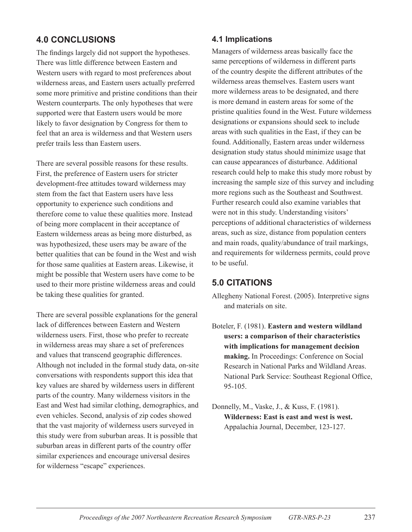# **4.0 Conclusions**

The findings largely did not support the hypotheses. There was little difference between Eastern and Western users with regard to most preferences about wilderness areas, and Eastern users actually preferred some more primitive and pristine conditions than their Western counterparts. The only hypotheses that were supported were that Eastern users would be more likely to favor designation by Congress for them to feel that an area is wilderness and that Western users prefer trails less than Eastern users.

There are several possible reasons for these results. First, the preference of Eastern users for stricter development-free attitudes toward wilderness may stem from the fact that Eastern users have less opportunity to experience such conditions and therefore come to value these qualities more. Instead of being more complacent in their acceptance of Eastern wilderness areas as being more disturbed, as was hypothesized, these users may be aware of the better qualities that can be found in the West and wish for those same qualities at Eastern areas. Likewise, it might be possible that Western users have come to be used to their more pristine wilderness areas and could be taking these qualities for granted.

There are several possible explanations for the general lack of differences between Eastern and Western wilderness users. First, those who prefer to recreate in wilderness areas may share a set of preferences and values that transcend geographic differences. Although not included in the formal study data, on-site conversations with respondents support this idea that key values are shared by wilderness users in different parts of the country. Many wilderness visitors in the East and West had similar clothing, demographics, and even vehicles. Second, analysis of zip codes showed that the vast majority of wilderness users surveyed in this study were from suburban areas. It is possible that suburban areas in different parts of the country offer similar experiences and encourage universal desires for wilderness "escape" experiences.

### **4.1 Implications**

Managers of wilderness areas basically face the same perceptions of wilderness in different parts of the country despite the different attributes of the wilderness areas themselves. Eastern users want more wilderness areas to be designated, and there is more demand in eastern areas for some of the pristine qualities found in the West. Future wilderness designations or expansions should seek to include areas with such qualities in the East, if they can be found. Additionally, Eastern areas under wilderness designation study status should minimize usage that can cause appearances of disturbance. Additional research could help to make this study more robust by increasing the sample size of this survey and including more regions such as the Southeast and Southwest. Further research could also examine variables that were not in this study. Understanding visitors' perceptions of additional characteristics of wilderness areas, such as size, distance from population centers and main roads, quality/abundance of trail markings, and requirements for wilderness permits, could prove to be useful.

## **5.0 Citations**

- Allegheny National Forest. (2005). Interpretive signs and materials on site.
- Boteler, F. (1981). **Eastern and western wildland users: a comparison of their characteristics with implications for management decision making.** In Proceedings: Conference on Social Research in National Parks and Wildland Areas. National Park Service: Southeast Regional Office, 95-105.
- Donnelly, M., Vaske, J., & Kuss, F. (1981). **Wilderness: East is east and west is west.** Appalachia Journal, December, 123-127.